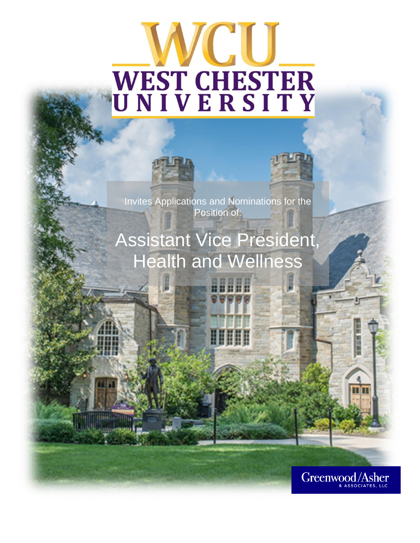# **SCOLOR** WEST CHESTER<br>UNIVERSITY





Invites Applications and Nominations for the Position of:

## Assistant Vice President, Health and Wellness

ШШ

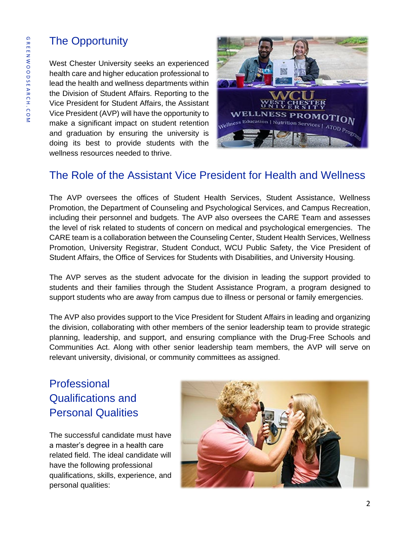## The Opportunity

West Chester University seeks an experienced health care and higher education professional to lead the health and wellness departments within the Division of Student Affairs. Reporting to the Vice President for Student Affairs, the Assistant Vice President (AVP) will have the opportunity to make a significant impact on student retention and graduation by ensuring the university is doing its best to provide students with the wellness resources needed to thrive.



## The Role of the Assistant Vice President for Health and Wellness

The AVP oversees the offices of Student Health Services, Student Assistance, Wellness Promotion, the Department of Counseling and Psychological Services, and Campus Recreation, including their personnel and budgets. The AVP also oversees the CARE Team and assesses the level of risk related to students of concern on medical and psychological emergencies. The CARE team is a collaboration between the Counseling Center, Student Health Services, Wellness Promotion, University Registrar, Student Conduct, WCU Public Safety, the Vice President of Student Affairs, the Office of Services for Students with Disabilities, and University Housing.

The AVP serves as the student advocate for the division in leading the support provided to students and their families through the Student Assistance Program, a program designed to support students who are away from campus due to illness or personal or family emergencies.

The AVP also provides support to the Vice President for Student Affairs in leading and organizing the division, collaborating with other members of the senior leadership team to provide strategic planning, leadership, and support, and ensuring compliance with the Drug-Free Schools and Communities Act. Along with other senior leadership team members, the AVP will serve on relevant university, divisional, or community committees as assigned.

## Professional Qualifications and Personal Qualities

The successful candidate must have a master's degree in a health care related field. The ideal candidate will have the following professional qualifications, skills, experience, and personal qualities:

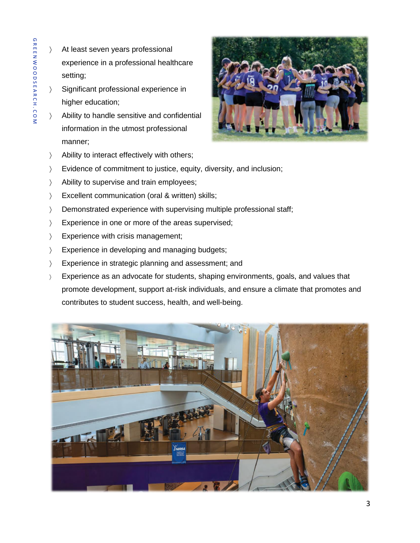- At least seven years professional experience in a professional healthcare setting;
- Significant professional experience in higher education;
- Ability to handle sensitive and confidential information in the utmost professional manner;



- > Ability to interact effectively with others;
- Evidence of commitment to justice, equity, diversity, and inclusion;
- > Ability to supervise and train employees;
- Excellent communication (oral & written) skills;
- > Demonstrated experience with supervising multiple professional staff;
- Experience in one or more of the areas supervised;
- > Experience with crisis management;
- > Experience in developing and managing budgets;
- Experience in strategic planning and assessment; and
- Experience as an advocate for students, shaping environments, goals, and values that promote development, support at-risk individuals, and ensure a climate that promotes and contributes to student success, health, and well-being.

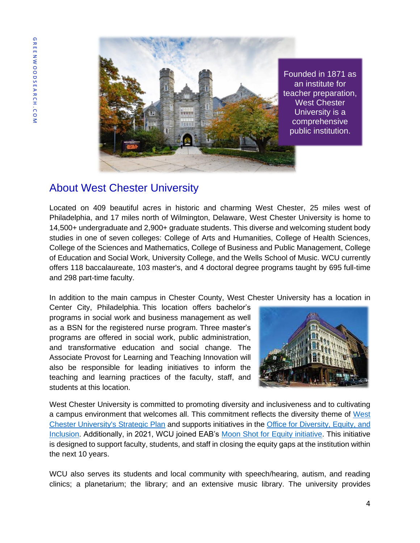

Founded in 1871 as teacher preparation, comprehensive public institution.

## About West Chester University

Located on 409 beautiful acres in historic and charming West Chester, 25 miles west of Philadelphia, and 17 miles north of Wilmington, Delaware, West Chester University is home to 14,500+ undergraduate and 2,900+ graduate students. This diverse and welcoming student body studies in one of seven colleges: College of Arts and Humanities, College of Health Sciences, College of the Sciences and Mathematics, College of Business and Public Management, College of Education and Social Work, University College, and the Wells School of Music. WCU currently offers 118 baccalaureate, 103 master's, and 4 doctoral degree programs taught by 695 full-time and 298 part-time faculty.

In addition to the main campus in Chester County, West Chester University has a location in

Center City, Philadelphia. This location offers bachelor's programs in social work and business management as well as a BSN for the registered nurse program. Three master's programs are offered in social work, public administration, and transformative education and social change. The Associate Provost for Learning and Teaching Innovation will also be responsible for leading initiatives to inform the teaching and learning practices of the faculty, staff, and students at this location.



West Chester University is committed to promoting diversity and inclusiveness and to cultivating a campus environment that welcomes all. This commitment reflects the diversity theme of [West](https://www.wcupa.edu/president/strategicPlan/default.aspx)  [Chester University's Strategic Plan](https://www.wcupa.edu/president/strategicPlan/default.aspx) and supports initiatives in the [Office for Diversity, Equity, and](https://www.wcupa.edu/_admin/diversityEquityInclusion/)  [Inclusion.](https://www.wcupa.edu/_admin/diversityEquityInclusion/) Additionally, in 2021, WCU joined EAB's [Moon Shot for Equity initiative.](https://eab.com/moon-shot-for-equity/) This initiative is designed to support faculty, students, and staff in closing the equity gaps at the institution within the next 10 years.

WCU also serves its students and local community with speech/hearing, autism, and reading clinics; a planetarium; the library; and an extensive music library. The university provides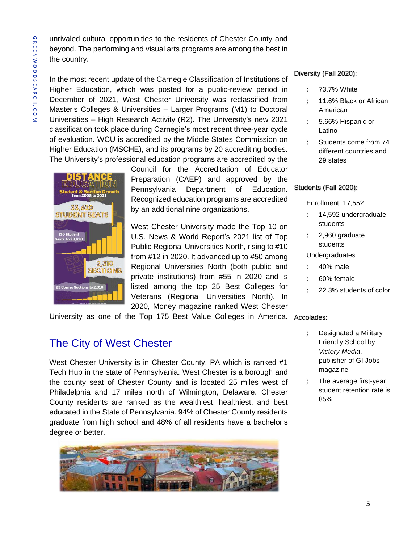unrivaled cultural opportunities to the residents of Chester County and beyond. The performing and visual arts programs are among the best in the country.

In the most recent update of the Carnegie Classification of Institutions of Higher Education, which was posted for a public-review period in December of 2021, West Chester University was reclassified from Master's Colleges & Universities – Larger Programs (M1) to Doctoral Universities – High Research Activity (R2). The University's new 2021 classification took place during Carnegie's most recent three-year cycle of evaluation. WCU is accredited by the Middle States Commission on Higher Education (MSCHE), and its programs by 20 accrediting bodies. The University's professional education programs are accredited by the



Council for the Accreditation of Educator Preparation (CAEP) and approved by the Pennsylvania Department of Education. Recognized education programs are accredited by an additional nine organizations.

West Chester University made the Top 10 on U.S. News & World Report's 2021 list of Top Public Regional Universities North, rising to #10 from #12 in 2020. It advanced up to #50 among Regional Universities North (both public and private institutions) from #55 in 2020 and is listed among the top 25 Best Colleges for Veterans (Regional Universities North). In 2020, Money magazine ranked West Chester

University as one of the Top 175 Best Value Colleges in America. Accolades:

## The City of West Chester

West Chester University is in Chester County, PA which is ranked #1 Tech Hub in the state of Pennsylvania. West Chester is a borough and the county seat of Chester County and is located 25 miles west of Philadelphia and 17 miles north of Wilmington, Delaware. Chester County residents are ranked as the wealthiest, healthiest, and best educated in the State of Pennsylvania. 94% of Chester County residents graduate from high school and 48% of all residents have a bachelor's degree or better.



#### Diversity (Fall 2020):

- 73.7% White
- 11.6% Black or African American
- 5.66% Hispanic or Latino
- Students come from 74 different countries and 29 states

#### Students (Fall 2020):

Enrollment: 17,552

- > 14,592 undergraduate students
- $\angle$  2,960 graduate students

Undergraduates:

- 40% male
- 60% female
- 22.3% students of color

- Designated a Military Friendly School by *Victory Media*, publisher of GI Jobs magazine
- > The average first-year student retention rate is 85%